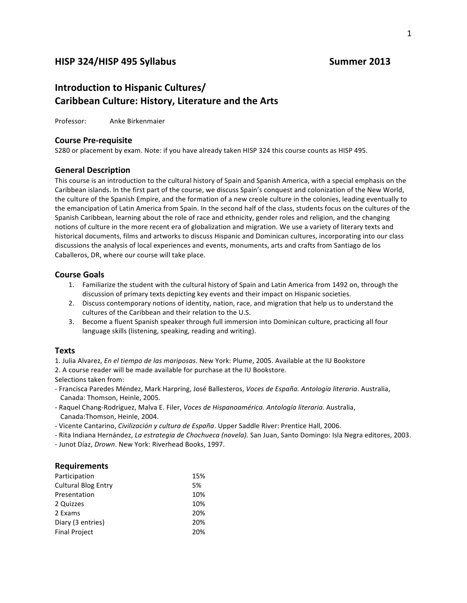### **HISP 324/HISP 495 Syllabus Summer 2013**

## **Introduction to Hispanic Cultures/ Caribbean Culture: History, Literature and the Arts**

Professor: Anke Birkenmaier

#### **Course Pre-requisite**

S280 or placement by exam. Note: if you have already taken HISP 324 this course counts as HISP 495.

#### **General Description**

This course is an introduction to the cultural history of Spain and Spanish America, with a special emphasis on the Caribbean islands. In the first part of the course, we discuss Spain's conquest and colonization of the New World, the culture of the Spanish Empire, and the formation of a new creole culture in the colonies, leading eventually to the emancipation of Latin America from Spain. In the second half of the class, students focus on the cultures of the Spanish Caribbean, learning about the role of race and ethnicity, gender roles and religion, and the changing notions of culture in the more recent era of globalization and migration. We use a variety of literary texts and historical documents, films and artworks to discuss Hispanic and Dominican cultures, incorporating into our class discussions the analysis of local experiences and events, monuments, arts and crafts from Santiago de los Caballeros, DR, where our course will take place.

#### **Course Goals**

- 1. Familiarize the student with the cultural history of Spain and Latin America from 1492 on, through the discussion of primary texts depicting key events and their impact on Hispanic societies.
- 2. Discuss contemporary notions of identity, nation, race, and migration that help us to understand the cultures of the Caribbean and their relation to the U.S.
- 3. Become a fluent Spanish speaker through full immersion into Dominican culture, practicing all four language skills (listening, speaking, reading and writing).

#### **Texts**

1. Julia Alvarez, *En el tiempo de las mariposas*. New York: Plume, 2005. Available at the IU Bookstore

2. A course reader will be made available for purchase at the IU Bookstore.

Selections taken from:

- Francisca Paredes Méndez, Mark Harpring, José Ballesteros, Voces de España. Antología literaria. Australia, Canada: Thomson, Heinle, 2005.
- Raquel Chang-Rodríguez, Malva E. Filer, *Voces de Hispanoamérica. Antología literaria*. Australia, Canada:Thomson, Heinle, 2004.
- Vicente Cantarino, *Civilización y cultura de España*. Upper Saddle River: Prentice Hall, 2006.
- Rita Indiana Hernández, *La estrategia de Chochueca (novela)*. San Juan, Santo Domingo: Isla Negra editores, 2003.

- Junot Díaz, *Drown*. New York: Riverhead Books, 1997.

#### **Requirements**

| Participation              | 15% |
|----------------------------|-----|
| <b>Cultural Blog Entry</b> | 5%  |
| Presentation               | 10% |
| 2 Quizzes                  | 10% |
| 2 Exams                    | 20% |
| Diary (3 entries)          | 20% |
| <b>Final Project</b>       | 20% |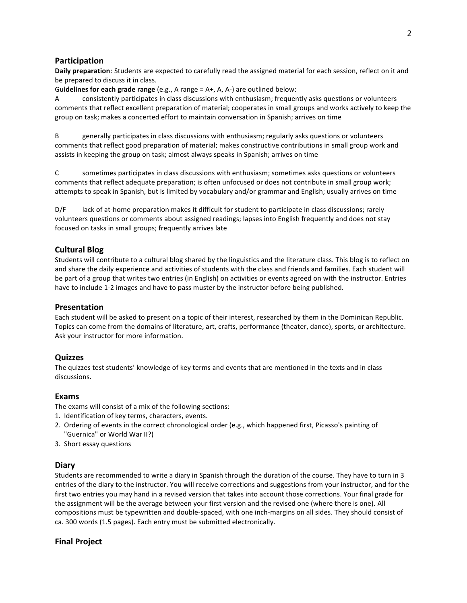#### **Participation**

**Daily preparation**: Students are expected to carefully read the assigned material for each session, reflect on it and be prepared to discuss it in class.

Guidelines for each grade range (e.g., A range = A+, A, A-) are outlined below:

A consistently participates in class discussions with enthusiasm; frequently asks questions or volunteers comments that reflect excellent preparation of material; cooperates in small groups and works actively to keep the group on task; makes a concerted effort to maintain conversation in Spanish; arrives on time

B generally participates in class discussions with enthusiasm; regularly asks questions or volunteers comments that reflect good preparation of material; makes constructive contributions in small group work and assists in keeping the group on task; almost always speaks in Spanish; arrives on time

C sometimes participates in class discussions with enthusiasm; sometimes asks questions or volunteers comments that reflect adequate preparation; is often unfocused or does not contribute in small group work; attempts to speak in Spanish, but is limited by vocabulary and/or grammar and English; usually arrives on time

D/F lack of at-home preparation makes it difficult for student to participate in class discussions; rarely volunteers questions or comments about assigned readings; lapses into English frequently and does not stay focused on tasks in small groups; frequently arrives late

#### **Cultural Blog**

Students will contribute to a cultural blog shared by the linguistics and the literature class. This blog is to reflect on and share the daily experience and activities of students with the class and friends and families. Each student will be part of a group that writes two entries (in English) on activities or events agreed on with the instructor. Entries have to include 1-2 images and have to pass muster by the instructor before being published.

#### **Presentation**

Each student will be asked to present on a topic of their interest, researched by them in the Dominican Republic. Topics can come from the domains of literature, art, crafts, performance (theater, dance), sports, or architecture. Ask your instructor for more information.

#### **Quizzes**

The quizzes test students' knowledge of key terms and events that are mentioned in the texts and in class discussions. 

#### **Exams**

The exams will consist of a mix of the following sections:

- 1. Identification of key terms, characters, events.
- 2. Ordering of events in the correct chronological order (e.g., which happened first, Picasso's painting of "Guernica" or World War II?)
- 3. Short essay questions

#### **Diary**

Students are recommended to write a diary in Spanish through the duration of the course. They have to turn in 3 entries of the diary to the instructor. You will receive corrections and suggestions from your instructor, and for the first two entries you may hand in a revised version that takes into account those corrections. Your final grade for the assignment will be the average between your first version and the revised one (where there is one). All compositions must be typewritten and double-spaced, with one inch-margins on all sides. They should consist of ca. 300 words (1.5 pages). Each entry must be submitted electronically.

#### **Final Project**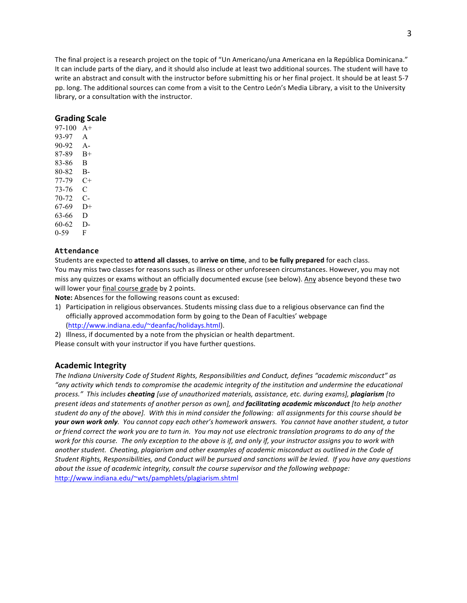The final project is a research project on the topic of "Un Americano/una Americana en la República Dominicana." It can include parts of the diary, and it should also include at least two additional sources. The student will have to write an abstract and consult with the instructor before submitting his or her final project. It should be at least 5-7 pp. long. The additional sources can come from a visit to the Centro León's Media Library, a visit to the University library, or a consultation with the instructor.

#### **Grading Scale**

97-100 A+ 93-97 A 90-92 A-87-89 B+ 83-86 B 80-82 B-77-79 C+ 73-76 C 70-72 C-67-69 D+ 63-66 D 60-62 D-0-59 F

#### **Attendance**

Students are expected to **attend all classes**, to **arrive on time**, and to be fully prepared for each class. You may miss two classes for reasons such as illness or other unforeseen circumstances. However, you may not miss any quizzes or exams without an officially documented excuse (see below). Any absence beyond these two will lower your final course grade by 2 points.

**Note:** Absences for the following reasons count as excused:

- 1) Participation in religious observances. Students missing class due to a religious observance can find the officially approved accommodation form by going to the Dean of Faculties' webpage (http://www.indiana.edu/~deanfac/holidays.html).
- 2) Illness, if documented by a note from the physician or health department. Please consult with your instructor if you have further questions.

#### **Academic Integrity**

The Indiana University Code of Student Rights, Responsibilities and Conduct, defines "academic misconduct" as *"any activity which tends to compromise the academic integrity of the institution and undermine the educational*  process." This includes *cheating* [use of unauthorized materials, assistance, etc. during exams], *plagiarism* [to *present ideas and statements of another person as own], and facilitating academic misconduct [to help another* student do any of the above]. With this in mind consider the following: all assignments for this course should be **your own work only**. You cannot copy each other's homework answers. You cannot have another student, a tutor or friend correct the work you are to turn in. You may not use electronic translation programs to do any of the work for this course. The only exception to the above is if, and only if, your instructor assigns you to work with another student. Cheating, plagiarism and other examples of academic misconduct as outlined in the Code of Student Rights, Responsibilities, and Conduct will be pursued and sanctions will be levied. If you have any questions *about the issue of academic integrity, consult the course supervisor and the following webpage:* http://www.indiana.edu/~wts/pamphlets/plagiarism.shtml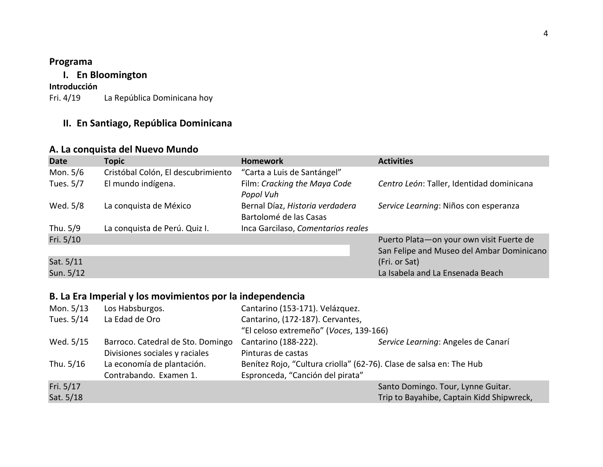## **Programa**

## **I. En Bloomington**

# **Introducción**

La República Dominicana hoy

## **II. En Santiago, República Dominicana**

## **A. La conquista del Nuevo Mundo**

| <b>Date</b> | <b>Topic</b>                       | <b>Homework</b>                                           | <b>Activities</b>                         |
|-------------|------------------------------------|-----------------------------------------------------------|-------------------------------------------|
| Mon. 5/6    | Cristóbal Colón, El descubrimiento | "Carta a Luis de Santángel"                               |                                           |
| Tues. 5/7   | El mundo indígena.                 | Film: Cracking the Maya Code<br>Popol Vuh                 | Centro León: Taller, Identidad dominicana |
| Wed. 5/8    | La conquista de México             | Bernal Díaz, Historia verdadera<br>Bartolomé de las Casas | Service Learning: Niños con esperanza     |
| Thu. 5/9    | La conquista de Perú. Quiz I.      | Inca Garcilaso, Comentarios reales                        |                                           |
| Fri. 5/10   |                                    |                                                           | Puerto Plata-on your own visit Fuerte de  |
|             |                                    |                                                           | San Felipe and Museo del Ambar Dominicano |
| Sat. 5/11   |                                    |                                                           | (Fri. or Sat)                             |
| Sun. 5/12   |                                    |                                                           | La Isabela and La Ensenada Beach          |

## **B. La Era Imperial y los movimientos por la independencia**

| Mon. 5/13  | Los Habsburgos.                   | Cantarino (153-171). Velázquez.                                     |                                           |
|------------|-----------------------------------|---------------------------------------------------------------------|-------------------------------------------|
| Tues. 5/14 | La Edad de Oro                    | Cantarino, (172-187). Cervantes,                                    |                                           |
|            |                                   | "El celoso extremeño" (Voces, 139-166)                              |                                           |
| Wed. 5/15  | Barroco. Catedral de Sto. Domingo | Cantarino (188-222).                                                | Service Learning: Angeles de Canarí       |
|            | Divisiones sociales y raciales    | Pinturas de castas                                                  |                                           |
| Thu. 5/16  | La economía de plantación.        | Benítez Rojo, "Cultura criolla" (62-76). Clase de salsa en: The Hub |                                           |
|            | Contrabando. Examen 1.            | Espronceda, "Canción del pirata"                                    |                                           |
| Fri. 5/17  |                                   |                                                                     | Santo Domingo. Tour, Lynne Guitar.        |
| Sat. 5/18  |                                   |                                                                     | Trip to Bayahibe, Captain Kidd Shipwreck, |